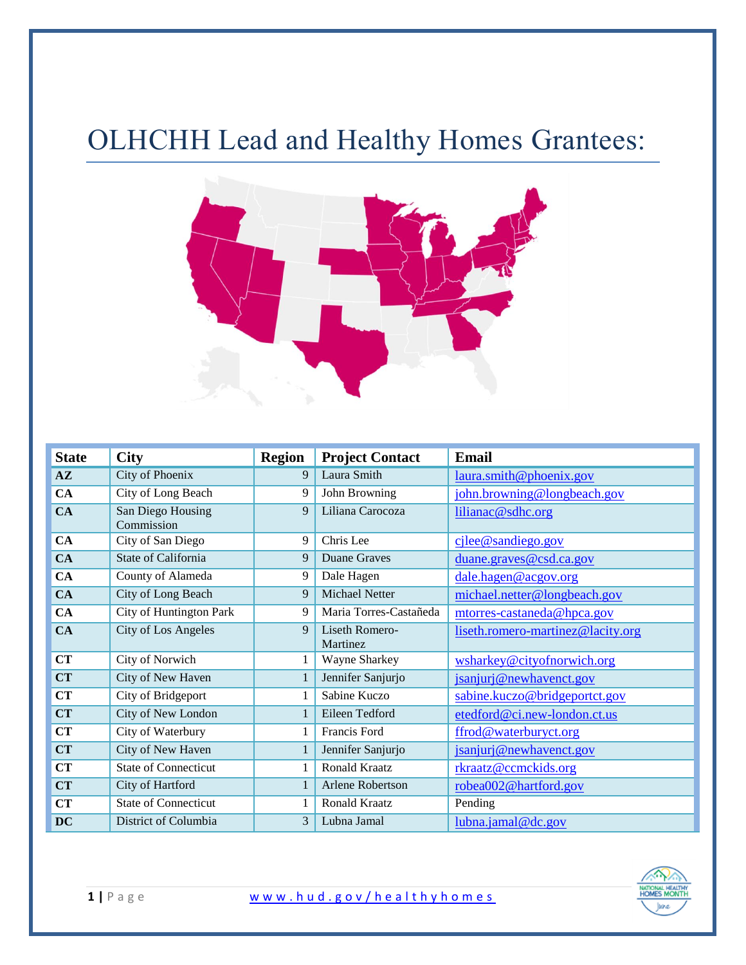## OLHCHH Lead and Healthy Homes Grantees:



| <b>State</b>  | <b>City</b>                     | <b>Region</b> | <b>Project Contact</b>     | <b>Email</b>                      |
|---------------|---------------------------------|---------------|----------------------------|-----------------------------------|
| $A\mathbf{Z}$ | City of Phoenix                 | 9             | Laura Smith                | laura.smith@phoenix.gov           |
| CA            | City of Long Beach              | 9             | John Browning              | john.browning@longbeach.gov       |
| CA            | San Diego Housing<br>Commission | 9             | Liliana Carocoza           | lilianac@sdhc.org                 |
| CA            | City of San Diego               | 9             | Chris Lee                  | $c\$ {ilde} candiego.gov          |
| CA            | State of California             | 9             | Duane Graves               | duane.graves@csd.ca.gov           |
| CA            | County of Alameda               | 9             | Dale Hagen                 | dale.hagen@acgov.org              |
| CA            | City of Long Beach              | 9             | Michael Netter             | michael.netter@longbeach.gov      |
| CA            | City of Huntington Park         | 9             | Maria Torres-Castañeda     | mtorres-castaneda@hpca.gov        |
| CA            | <b>City of Los Angeles</b>      | 9             | Liseth Romero-<br>Martinez | liseth.romero-martinez@lacity.org |
| <b>CT</b>     | City of Norwich                 |               | Wayne Sharkey              | wsharkey@cityofnorwich.org        |
| <b>CT</b>     | City of New Haven               | 1             | Jennifer Sanjurjo          | jsanjurj@newhavenct.gov           |
| CT            | City of Bridgeport              |               | Sabine Kuczo               | sabine.kuczo@bridgeportct.gov     |
| <b>CT</b>     | City of New London              |               | Eileen Tedford             | etedford@ci.new-london.ct.us      |
| CT            | City of Waterbury               |               | Francis Ford               | ffrod@waterburyct.org             |
| <b>CT</b>     | City of New Haven               |               | Jennifer Sanjurjo          | jsanjurj@newhavenct.gov           |
| <b>CT</b>     | <b>State of Connecticut</b>     |               | Ronald Kraatz              | rkraatz@ccmckids.org              |
| <b>CT</b>     | City of Hartford                |               | Arlene Robertson           | robea002@hartford.gov             |
| CT            | <b>State of Connecticut</b>     |               | Ronald Kraatz              | Pending                           |
| <b>DC</b>     | District of Columbia            | 3             | Lubna Jamal                | $lubna.$ <i>jamal</i> @dc.gov     |

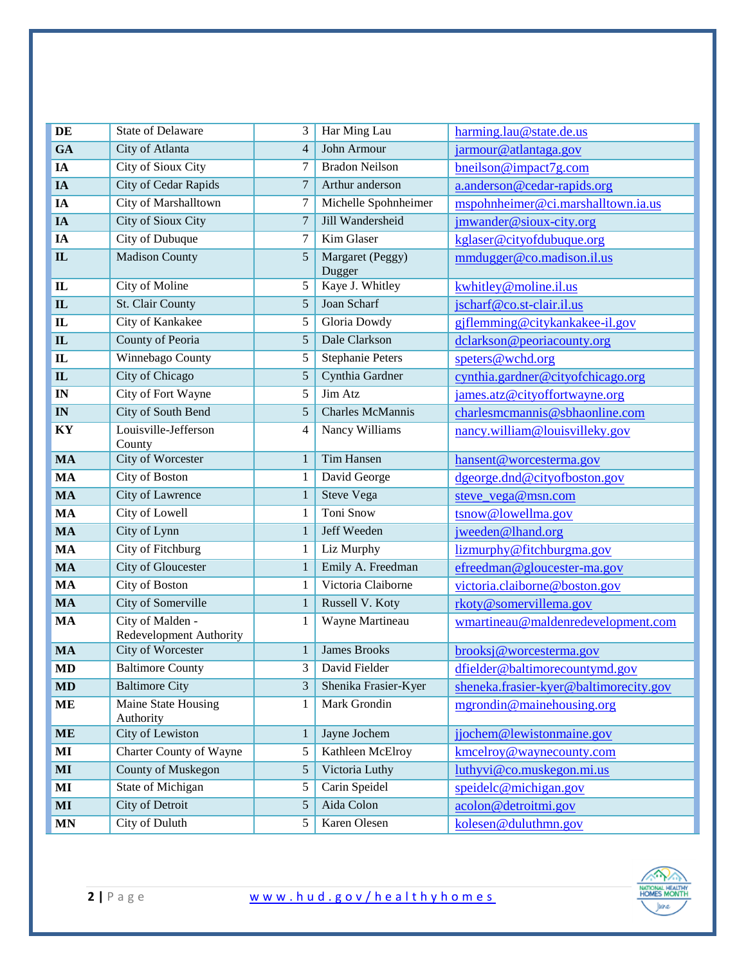| $\bf DE$               | <b>State of Delaware</b>                    | 3              | Har Ming Lau               | harming.lau@state.de.us                |
|------------------------|---------------------------------------------|----------------|----------------------------|----------------------------------------|
| GA                     | City of Atlanta                             | $\overline{4}$ | John Armour                | jarmour@atlantaga.gov                  |
| IA                     | City of Sioux City                          | 7              | <b>Bradon Neilson</b>      | bneilson@impact7g.com                  |
| IA                     | <b>City of Cedar Rapids</b>                 | $\overline{7}$ | Arthur anderson            | a.anderson@cedar-rapids.org            |
| IA                     | City of Marshalltown                        | 7              | Michelle Spohnheimer       | mspohnheimer@ci.marshalltown.ia.us     |
| IA                     | City of Sioux City                          | $\overline{7}$ | Jill Wandersheid           | jmwander@sioux-city.org                |
| IA                     | City of Dubuque                             | 7              | Kim Glaser                 | kglaser@cityofdubuque.org              |
| $\mathbf{L}$           | <b>Madison County</b>                       | 5              | Margaret (Peggy)<br>Dugger | mmdugger@co.madison.il.us              |
| $\mathbf{I}$           | City of Moline                              | 5              | Kaye J. Whitley            | kwhitley@moline.il.us                  |
| $\mathbf{IL}$          | St. Clair County                            | 5              | Joan Scharf                | jscharf@co.st-clair.il.us              |
| ${\bf I}{\bf L}$       | City of Kankakee                            | 5              | Gloria Dowdy               | gjflemming@citykankakee-il.gov         |
| $\mathbf{IL}$          | County of Peoria                            | 5              | Dale Clarkson              | dclarkson@peoriacounty.org             |
| ${\bf I}{\bf L}$       | <b>Winnebago County</b>                     | 5              | <b>Stephanie Peters</b>    | speters@wchd.org                       |
| $\mathbf{IL}$          | <b>City of Chicago</b>                      | 5              | Cynthia Gardner            | cynthia.gardner@cityofchicago.org      |
| IN                     | City of Fort Wayne                          | 5              | Jim Atz                    | james.atz@cityoffortwayne.org          |
| IN                     | City of South Bend                          | 5              | Charles McMannis           | charlesmcmannis@sbhaonline.com         |
| KY                     | Louisville-Jefferson<br>County              | $\overline{4}$ | Nancy Williams             | nancy.william@louisvilleky.gov         |
| <b>MA</b>              | City of Worcester                           | 1              | Tim Hansen                 | hansent@worcesterma.gov                |
| <b>MA</b>              | City of Boston                              | 1              | David George               | dgeorge.dnd@cityofboston.gov           |
| <b>MA</b>              | City of Lawrence                            | 1              | <b>Steve Vega</b>          | steve_vega@msn.com                     |
| <b>MA</b>              | City of Lowell                              | 1              | Toni Snow                  | tsnow@lowellma.gov                     |
| <b>MA</b>              | City of Lynn                                | 1              | Jeff Weeden                | jweeden@lhand.org                      |
| <b>MA</b>              | City of Fitchburg                           | 1              | Liz Murphy                 | lizmurphy@fitchburgma.gov              |
| <b>MA</b>              | City of Gloucester                          | 1              | Emily A. Freedman          | efreedman@gloucester-ma.gov            |
| <b>MA</b>              | City of Boston                              | 1              | Victoria Claiborne         | victoria.claiborne@boston.gov          |
| <b>MA</b>              | City of Somerville                          | 1              | Russell V. Koty            | rkoty@somervillema.gov                 |
| <b>MA</b>              | City of Malden -<br>Redevelopment Authority | 1              | Wayne Martineau            | wmartineau@maldenredevelopment.com     |
| <b>MA</b>              | <b>City of Worcester</b>                    | 1              | <b>James Brooks</b>        | brooksj@worcesterma.gov                |
| $\mathbf{M}\mathbf{D}$ | <b>Baltimore County</b>                     |                | 3 David Fielder            | dfielder@baltimorecountymd.gov         |
| <b>MD</b>              | <b>Baltimore City</b>                       | 3              | Shenika Frasier-Kyer       | sheneka.frasier-kyer@baltimorecity.gov |
| <b>ME</b>              | Maine State Housing<br>Authority            | 1              | Mark Grondin               | mgrondin@mainehousing.org              |
| <b>ME</b>              | <b>City of Lewiston</b>                     | 1              | Jayne Jochem               | jjochem@lewistonmaine.gov              |
| MI                     | Charter County of Wayne                     | 5              | Kathleen McElroy           | kmcelroy@waynecounty.com               |
| $\bf{MI}$              | <b>County of Muskegon</b>                   | 5              | Victoria Luthy             | luthyvi@co.muskegon.mi.us              |
| MI                     | State of Michigan                           | 5              | Carin Speidel              | speidelc@michigan.gov                  |
| MI                     | City of Detroit                             | 5              | Aida Colon                 | acolon@detroitmi.gov                   |
| <b>MN</b>              | City of Duluth                              | 5              | Karen Olesen               | kolesen@duluthmn.gov                   |

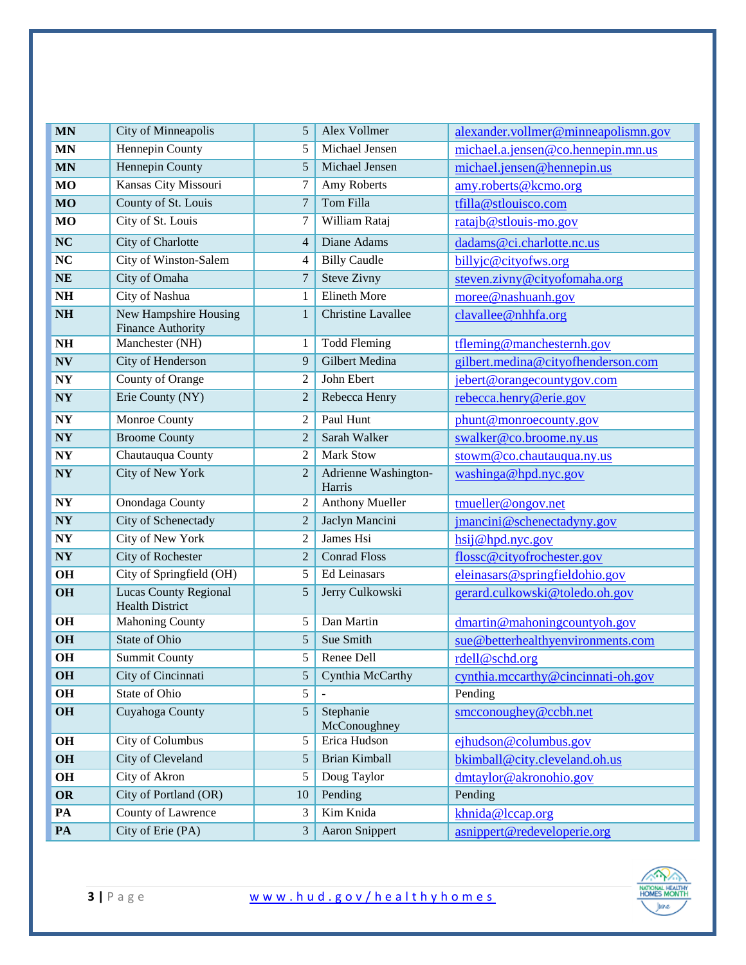| <b>MN</b>              | City of Minneapolis                                    | 5              | Alex Vollmer                   | alexander.vollmer@minneapolismn.gov |
|------------------------|--------------------------------------------------------|----------------|--------------------------------|-------------------------------------|
| <b>MN</b>              | Hennepin County                                        | 5              | Michael Jensen                 | michael.a.jensen@co.hennepin.mn.us  |
| <b>MN</b>              | <b>Hennepin County</b>                                 | 5              | Michael Jensen                 | michael.jensen@hennepin.us          |
| <b>MO</b>              | Kansas City Missouri                                   | 7              | Amy Roberts                    | amy.roberts@kcmo.org                |
| <b>MO</b>              | County of St. Louis                                    | $\overline{7}$ | Tom Filla                      | tfilla@stlouisco.com                |
| <b>MO</b>              | City of St. Louis                                      | 7              | William Rataj                  | ratajb@stlouis-mo.gov               |
| NC                     | City of Charlotte                                      | $\overline{4}$ | Diane Adams                    | dadams@ci.charlotte.nc.us           |
| NC                     | City of Winston-Salem                                  | 4              | <b>Billy Caudle</b>            | billyjc@cityofws.org                |
| <b>NE</b>              | City of Omaha                                          | $\overline{7}$ | <b>Steve Zivny</b>             | steven.zivny@cityofomaha.org        |
| $\mathbf{N}\mathbf{H}$ | City of Nashua                                         | 1              | Elineth More                   | moree@nashuanh.gov                  |
| $\mathbf{N}\mathbf{H}$ | New Hampshire Housing<br><b>Finance Authority</b>      | $\mathbf{1}$   | <b>Christine Lavallee</b>      | clavallee@nhhfa.org                 |
| $\mathbf{N}\mathbf{H}$ | Manchester (NH)                                        | 1              | <b>Todd Fleming</b>            | tfleming@manchesternh.gov           |
| $\mathbf{N}\mathbf{V}$ | City of Henderson                                      | 9              | <b>Gilbert Medina</b>          | gilbert.medina@cityofhenderson.com  |
| $\bold{NY}$            | County of Orange                                       | $\overline{2}$ | John Ebert                     | jebert@orangecountygov.com          |
| NY                     | Erie County (NY)                                       | $\overline{2}$ | Rebecca Henry                  | rebecca.henry@erie.gov              |
| $\bold{NY}$            | Monroe County                                          | 2              | Paul Hunt                      | phunt@monroecounty.gov              |
| NY                     | <b>Broome County</b>                                   | $\overline{2}$ | Sarah Walker                   | swalker@co.broome.ny.us             |
| $\bold{NY}$            | Chautauqua County                                      | 2              | <b>Mark Stow</b>               | stowm@co.chautauqua.ny.us           |
| NY                     | City of New York                                       | $\overline{2}$ | Adrienne Washington-<br>Harris | washinga@hpd.nyc.gov                |
| $\bold{N}\bold{Y}$     | Onondaga County                                        | 2              | <b>Anthony Mueller</b>         | tmueller@ongov.net                  |
| $\bold{N}\bold{Y}$     | City of Schenectady                                    | $\overline{2}$ | Jaclyn Mancini                 | jmancini@schenectadyny.gov          |
| $\bold{N}\bold{Y}$     | City of New York                                       | $\overline{2}$ | James Hsi                      | hsij@hpd.nyc.gov                    |
| $\bold{N}\bold{Y}$     | <b>City of Rochester</b>                               | $\overline{2}$ | <b>Conrad Floss</b>            | flosse@cityofrochester.gov          |
| OH                     | City of Springfield (OH)                               | 5              | Ed Leinasars                   | eleinasars@springfieldohio.gov      |
| OH                     | <b>Lucas County Regional</b><br><b>Health District</b> | 5              | Jerry Culkowski                | gerard.culkowski@toledo.oh.gov      |
| OH                     | <b>Mahoning County</b>                                 | 5              | Dan Martin                     | dmartin@mahoningcountyoh.gov        |
| <b>OH</b>              | State of Ohio                                          | 5              | Sue Smith                      | sue@betterhealthyenvironments.com   |
| OH                     | <b>Summit County</b>                                   | 5              | Renee Dell                     | rdell@schd.org                      |
| OH                     | City of Cincinnati                                     | 5              | Cynthia McCarthy               | cynthia.mccarthy@cincinnati-oh.gov  |
| OH                     | State of Ohio                                          | 5              |                                | Pending                             |
| OH                     | Cuyahoga County                                        | 5              | Stephanie<br>McConoughney      | smcconoughey@ccbh.net               |
| <b>OH</b>              | <b>City of Columbus</b>                                | 5              | Erica Hudson                   | ejhudson@columbus.gov               |
| OH                     | City of Cleveland                                      | 5              | Brian Kimball                  | bkimball@city.cleveland.oh.us       |
| OH                     | City of Akron                                          | 5              | Doug Taylor                    | dmtaylor@akronohio.gov              |
| OR                     | City of Portland (OR)                                  | 10             | Pending                        | Pending                             |
| PA                     | County of Lawrence                                     | 3              | Kim Knida                      | khnida@lccap.org                    |
| PA                     | City of Erie (PA)                                      | 3              | <b>Aaron Snippert</b>          | asnippert@redeveloperie.org         |